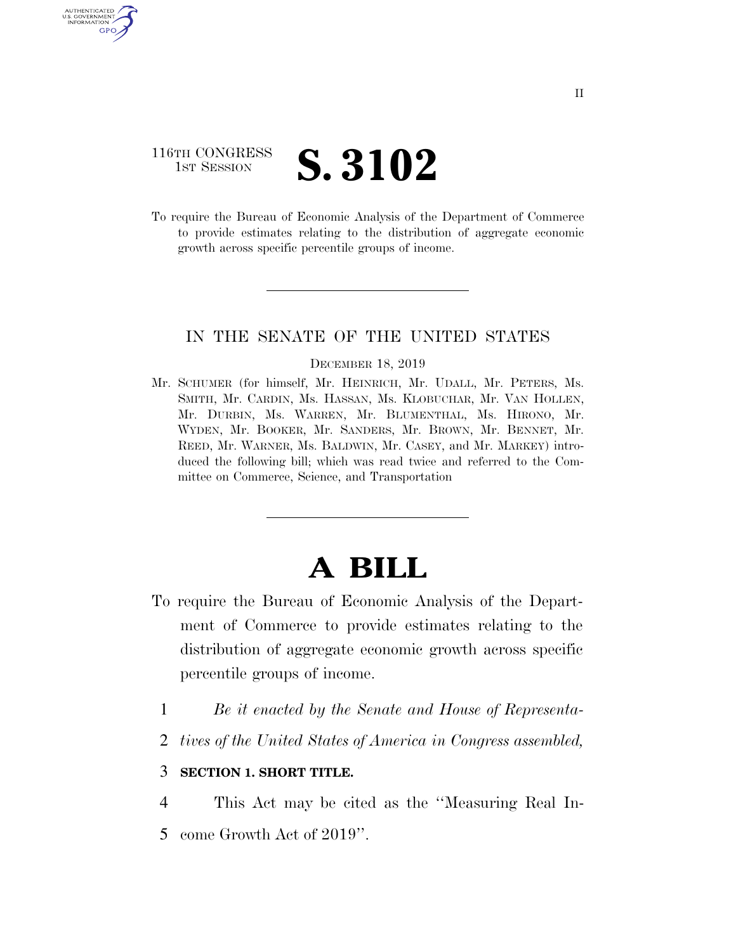## 116TH CONGRESS **1ST SESSION S. 3102**

AUTHENTICATED U.S. GOVERNMENT GPO

> To require the Bureau of Economic Analysis of the Department of Commerce to provide estimates relating to the distribution of aggregate economic growth across specific percentile groups of income.

### IN THE SENATE OF THE UNITED STATES

#### DECEMBER 18, 2019

Mr. SCHUMER (for himself, Mr. HEINRICH, Mr. UDALL, Mr. PETERS, Ms. SMITH, Mr. CARDIN, Ms. HASSAN, Ms. KLOBUCHAR, Mr. VAN HOLLEN, Mr. DURBIN, Ms. WARREN, Mr. BLUMENTHAL, Ms. HIRONO, Mr. WYDEN, Mr. BOOKER, Mr. SANDERS, Mr. BROWN, Mr. BENNET, Mr. REED, Mr. WARNER, Ms. BALDWIN, Mr. CASEY, and Mr. MARKEY) introduced the following bill; which was read twice and referred to the Committee on Commerce, Science, and Transportation

# **A BILL**

- To require the Bureau of Economic Analysis of the Department of Commerce to provide estimates relating to the distribution of aggregate economic growth across specific percentile groups of income.
	- 1 *Be it enacted by the Senate and House of Representa-*
	- 2 *tives of the United States of America in Congress assembled,*

### 3 **SECTION 1. SHORT TITLE.**

4 This Act may be cited as the ''Measuring Real In-5 come Growth Act of 2019''.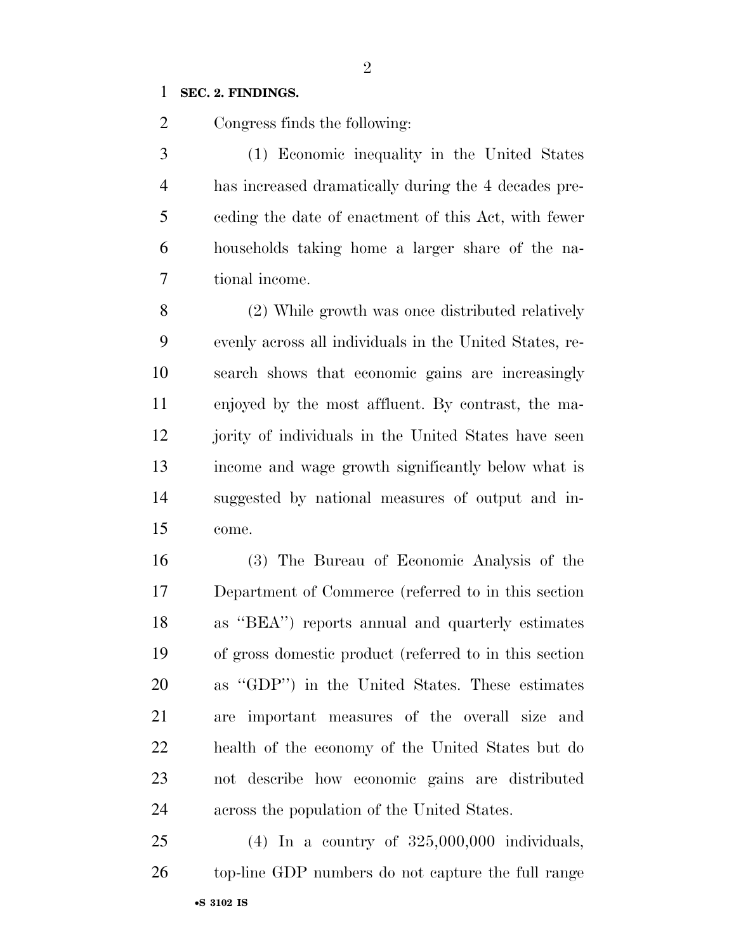### **SEC. 2. FINDINGS.**

Congress finds the following:

 (1) Economic inequality in the United States has increased dramatically during the 4 decades pre- ceding the date of enactment of this Act, with fewer households taking home a larger share of the na-tional income.

 (2) While growth was once distributed relatively evenly across all individuals in the United States, re- search shows that economic gains are increasingly enjoyed by the most affluent. By contrast, the ma- jority of individuals in the United States have seen income and wage growth significantly below what is suggested by national measures of output and in-come.

 (3) The Bureau of Economic Analysis of the Department of Commerce (referred to in this section as ''BEA'') reports annual and quarterly estimates of gross domestic product (referred to in this section as ''GDP'') in the United States. These estimates are important measures of the overall size and health of the economy of the United States but do not describe how economic gains are distributed across the population of the United States.

•**S 3102 IS** (4) In a country of 325,000,000 individuals, top-line GDP numbers do not capture the full range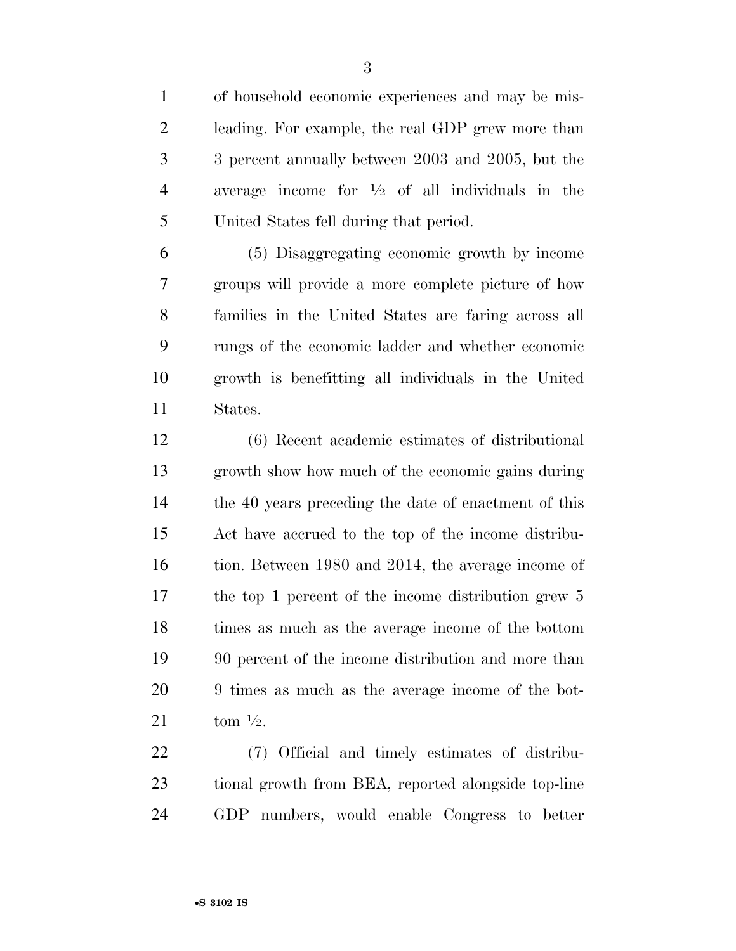of household economic experiences and may be mis- leading. For example, the real GDP grew more than 3 percent annually between 2003 and 2005, but the 4 average income for  $\frac{1}{2}$  of all individuals in the United States fell during that period.

 (5) Disaggregating economic growth by income groups will provide a more complete picture of how families in the United States are faring across all rungs of the economic ladder and whether economic growth is benefitting all individuals in the United States.

 (6) Recent academic estimates of distributional growth show how much of the economic gains during the 40 years preceding the date of enactment of this Act have accrued to the top of the income distribu- tion. Between 1980 and 2014, the average income of the top 1 percent of the income distribution grew 5 times as much as the average income of the bottom 90 percent of the income distribution and more than 9 times as much as the average income of the bot- $\tan \frac{1}{2}$ .

 (7) Official and timely estimates of distribu- tional growth from BEA, reported alongside top-line GDP numbers, would enable Congress to better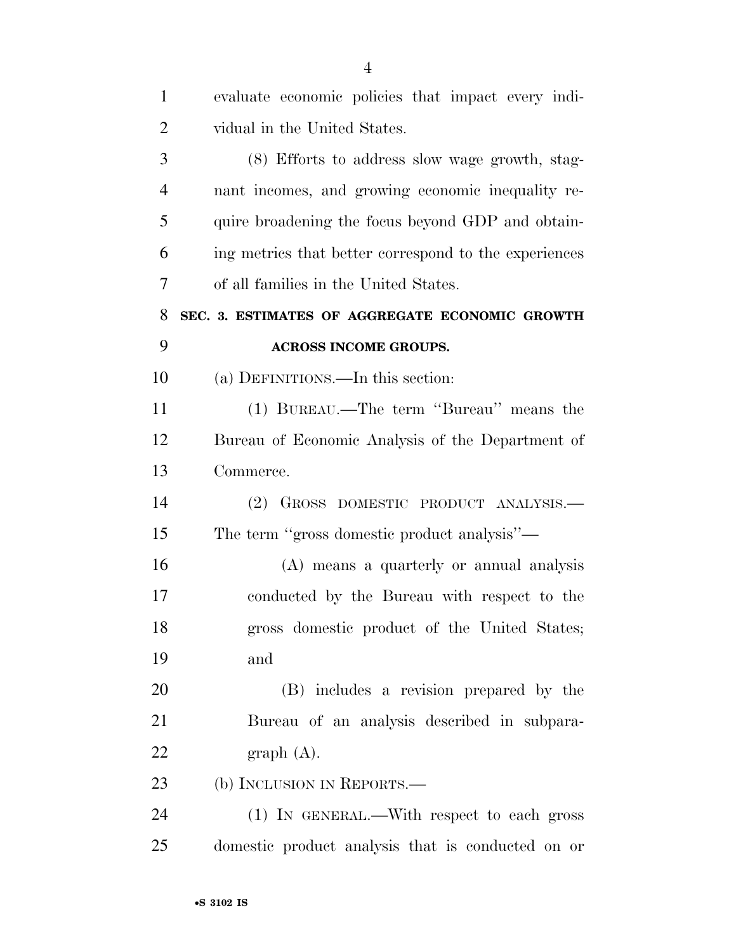| $\mathbf{1}$   | evaluate economic policies that impact every indi-    |
|----------------|-------------------------------------------------------|
| $\overline{2}$ | vidual in the United States.                          |
| 3              | (8) Efforts to address slow wage growth, stag-        |
| $\overline{4}$ | nant incomes, and growing economic inequality re-     |
| 5              | quire broadening the focus beyond GDP and obtain-     |
| 6              | ing metrics that better correspond to the experiences |
| 7              | of all families in the United States.                 |
| 8              | SEC. 3. ESTIMATES OF AGGREGATE ECONOMIC GROWTH        |
| 9              | <b>ACROSS INCOME GROUPS.</b>                          |
| 10             | (a) DEFINITIONS.—In this section:                     |
| 11             | (1) BUREAU.—The term "Bureau" means the               |
| 12             | Bureau of Economic Analysis of the Department of      |
| 13             | Commerce.                                             |
| 14             | (2) GROSS DOMESTIC PRODUCT ANALYSIS.—                 |
| 15             | The term "gross domestic product analysis"—           |
| 16             | (A) means a quarterly or annual analysis              |
| 17             | conducted by the Bureau with respect to the           |
| 18             | gross domestic product of the United States;          |
| 19             | and                                                   |
| 20             | (B) includes a revision prepared by the               |
| 21             | Bureau of an analysis described in subpara-           |
| 22             | graph(A).                                             |
| 23             | (b) INCLUSION IN REPORTS.—                            |
| 24             | (1) IN GENERAL.—With respect to each gross            |
| 25             | domestic product analysis that is conducted on or     |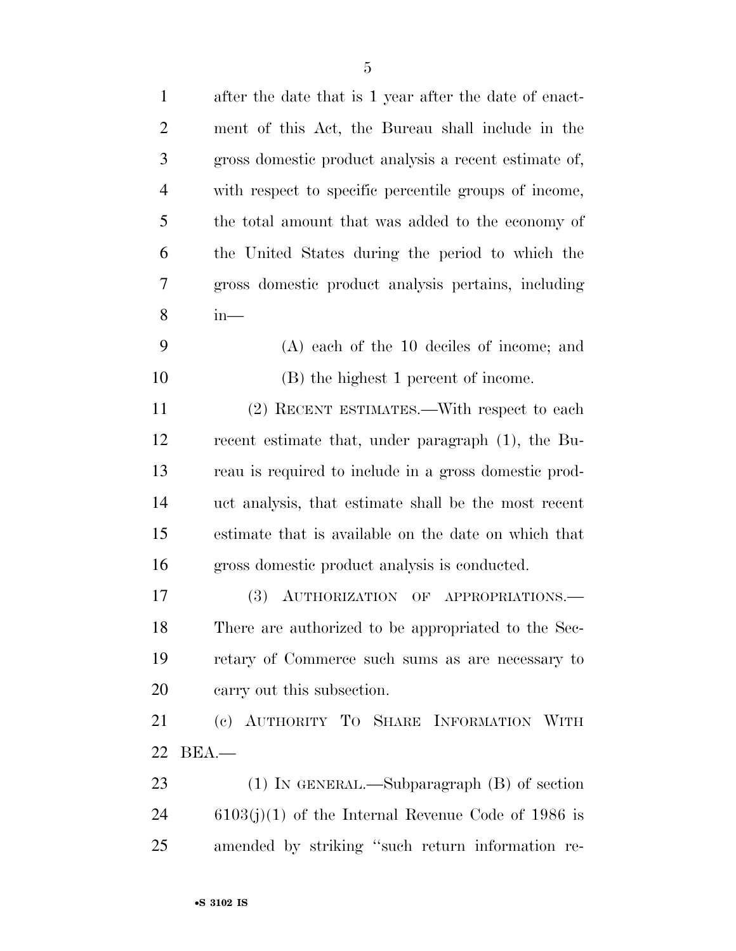| $\mathbf{1}$   | after the date that is 1 year after the date of enact- |
|----------------|--------------------------------------------------------|
| $\overline{2}$ | ment of this Act, the Bureau shall include in the      |
| 3              | gross domestic product analysis a recent estimate of,  |
| $\overline{4}$ | with respect to specific percentile groups of income,  |
| 5              | the total amount that was added to the economy of      |
| 6              | the United States during the period to which the       |
| 7              | gross domestic product analysis pertains, including    |
| 8              | $in-$                                                  |
| 9              | $(A)$ each of the 10 deciles of income; and            |
| 10             | (B) the highest 1 percent of income.                   |
| 11             | (2) RECENT ESTIMATES.—With respect to each             |
| 12             | recent estimate that, under paragraph (1), the Bu-     |
| 13             | reau is required to include in a gross domestic prod-  |
| 14             | uct analysis, that estimate shall be the most recent   |
| 15             | estimate that is available on the date on which that   |
| 16             | gross domestic product analysis is conducted.          |
| 17             | (3)<br>AUTHORIZATION OF<br>APPROPRIATIONS.             |
| 18             | There are authorized to be appropriated to the Sec-    |
| 19             | retary of Commerce such sums as are necessary to       |
| 20             | carry out this subsection.                             |
| 21             | (c) AUTHORITY TO SHARE INFORMATION WITH                |
| 22             | BEA.                                                   |
| 23             | $(1)$ In GENERAL.—Subparagraph $(B)$ of section        |
| 24             | $6103(j)(1)$ of the Internal Revenue Code of 1986 is   |
| 25             | amended by striking "such return information re-       |